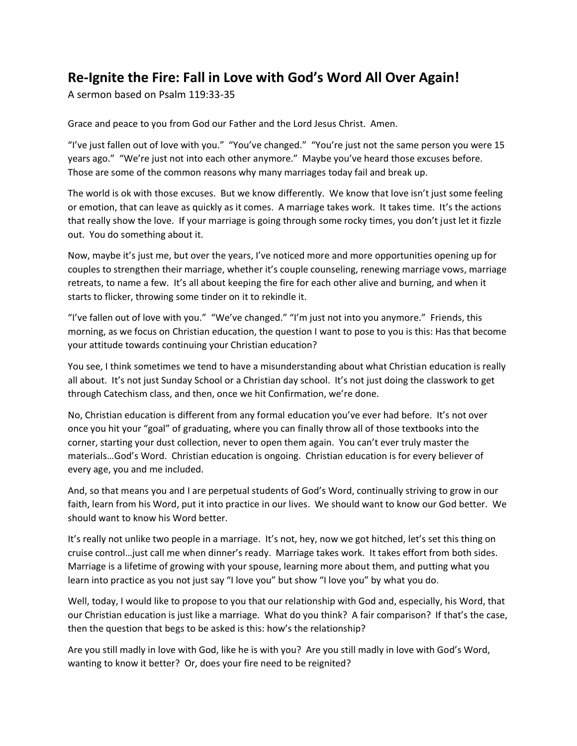## **Re-Ignite the Fire: Fall in Love with God's Word All Over Again!**

A sermon based on Psalm 119:33-35

Grace and peace to you from God our Father and the Lord Jesus Christ. Amen.

"I've just fallen out of love with you." "You've changed." "You're just not the same person you were 15 years ago." "We're just not into each other anymore." Maybe you've heard those excuses before. Those are some of the common reasons why many marriages today fail and break up.

The world is ok with those excuses. But we know differently. We know that love isn't just some feeling or emotion, that can leave as quickly as it comes. A marriage takes work. It takes time. It's the actions that really show the love. If your marriage is going through some rocky times, you don't just let it fizzle out. You do something about it.

Now, maybe it's just me, but over the years, I've noticed more and more opportunities opening up for couples to strengthen their marriage, whether it's couple counseling, renewing marriage vows, marriage retreats, to name a few. It's all about keeping the fire for each other alive and burning, and when it starts to flicker, throwing some tinder on it to rekindle it.

"I've fallen out of love with you." "We've changed." "I'm just not into you anymore." Friends, this morning, as we focus on Christian education, the question I want to pose to you is this: Has that become your attitude towards continuing your Christian education?

You see, I think sometimes we tend to have a misunderstanding about what Christian education is really all about. It's not just Sunday School or a Christian day school. It's not just doing the classwork to get through Catechism class, and then, once we hit Confirmation, we're done.

No, Christian education is different from any formal education you've ever had before. It's not over once you hit your "goal" of graduating, where you can finally throw all of those textbooks into the corner, starting your dust collection, never to open them again. You can't ever truly master the materials…God's Word. Christian education is ongoing. Christian education is for every believer of every age, you and me included.

And, so that means you and I are perpetual students of God's Word, continually striving to grow in our faith, learn from his Word, put it into practice in our lives. We should want to know our God better. We should want to know his Word better.

It's really not unlike two people in a marriage. It's not, hey, now we got hitched, let's set this thing on cruise control…just call me when dinner's ready. Marriage takes work. It takes effort from both sides. Marriage is a lifetime of growing with your spouse, learning more about them, and putting what you learn into practice as you not just say "I love you" but show "I love you" by what you do.

Well, today, I would like to propose to you that our relationship with God and, especially, his Word, that our Christian education is just like a marriage. What do you think? A fair comparison? If that's the case, then the question that begs to be asked is this: how's the relationship?

Are you still madly in love with God, like he is with you? Are you still madly in love with God's Word, wanting to know it better? Or, does your fire need to be reignited?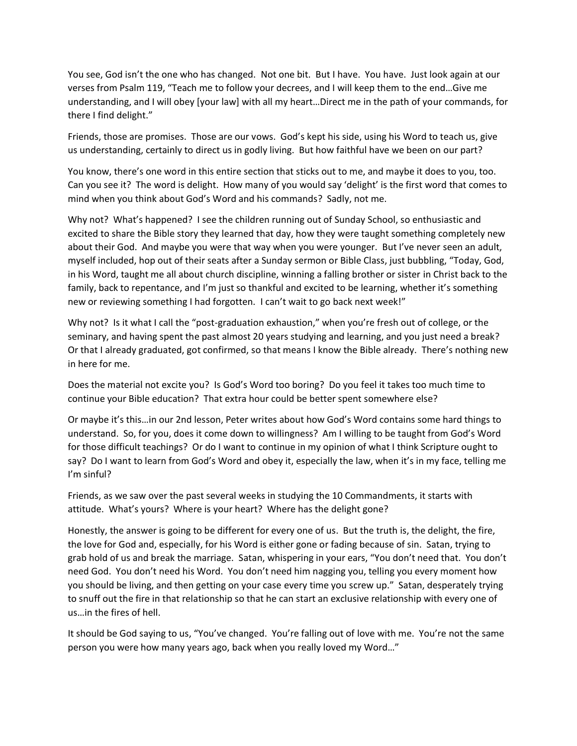You see, God isn't the one who has changed. Not one bit. But I have. You have. Just look again at our verses from Psalm 119, "Teach me to follow your decrees, and I will keep them to the end…Give me understanding, and I will obey [your law] with all my heart…Direct me in the path of your commands, for there I find delight."

Friends, those are promises. Those are our vows. God's kept his side, using his Word to teach us, give us understanding, certainly to direct us in godly living. But how faithful have we been on our part?

You know, there's one word in this entire section that sticks out to me, and maybe it does to you, too. Can you see it? The word is delight. How many of you would say 'delight' is the first word that comes to mind when you think about God's Word and his commands? Sadly, not me.

Why not? What's happened? I see the children running out of Sunday School, so enthusiastic and excited to share the Bible story they learned that day, how they were taught something completely new about their God. And maybe you were that way when you were younger. But I've never seen an adult, myself included, hop out of their seats after a Sunday sermon or Bible Class, just bubbling, "Today, God, in his Word, taught me all about church discipline, winning a falling brother or sister in Christ back to the family, back to repentance, and I'm just so thankful and excited to be learning, whether it's something new or reviewing something I had forgotten. I can't wait to go back next week!"

Why not? Is it what I call the "post-graduation exhaustion," when you're fresh out of college, or the seminary, and having spent the past almost 20 years studying and learning, and you just need a break? Or that I already graduated, got confirmed, so that means I know the Bible already. There's nothing new in here for me.

Does the material not excite you? Is God's Word too boring? Do you feel it takes too much time to continue your Bible education? That extra hour could be better spent somewhere else?

Or maybe it's this…in our 2nd lesson, Peter writes about how God's Word contains some hard things to understand. So, for you, does it come down to willingness? Am I willing to be taught from God's Word for those difficult teachings? Or do I want to continue in my opinion of what I think Scripture ought to say? Do I want to learn from God's Word and obey it, especially the law, when it's in my face, telling me I'm sinful?

Friends, as we saw over the past several weeks in studying the 10 Commandments, it starts with attitude. What's yours? Where is your heart? Where has the delight gone?

Honestly, the answer is going to be different for every one of us. But the truth is, the delight, the fire, the love for God and, especially, for his Word is either gone or fading because of sin. Satan, trying to grab hold of us and break the marriage. Satan, whispering in your ears, "You don't need that. You don't need God. You don't need his Word. You don't need him nagging you, telling you every moment how you should be living, and then getting on your case every time you screw up." Satan, desperately trying to snuff out the fire in that relationship so that he can start an exclusive relationship with every one of us…in the fires of hell.

It should be God saying to us, "You've changed. You're falling out of love with me. You're not the same person you were how many years ago, back when you really loved my Word…"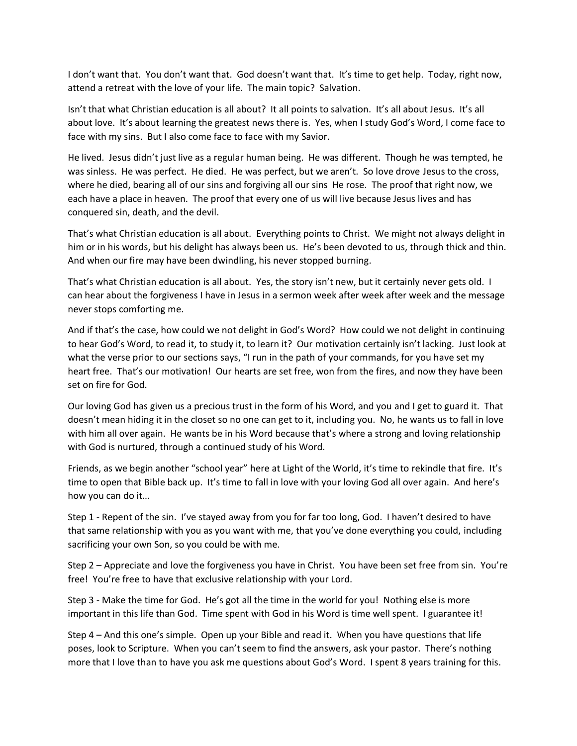I don't want that. You don't want that. God doesn't want that. It's time to get help. Today, right now, attend a retreat with the love of your life. The main topic? Salvation.

Isn't that what Christian education is all about? It all points to salvation. It's all about Jesus. It's all about love. It's about learning the greatest news there is. Yes, when I study God's Word, I come face to face with my sins. But I also come face to face with my Savior.

He lived. Jesus didn't just live as a regular human being. He was different. Though he was tempted, he was sinless. He was perfect. He died. He was perfect, but we aren't. So love drove Jesus to the cross, where he died, bearing all of our sins and forgiving all our sins He rose. The proof that right now, we each have a place in heaven. The proof that every one of us will live because Jesus lives and has conquered sin, death, and the devil.

That's what Christian education is all about. Everything points to Christ. We might not always delight in him or in his words, but his delight has always been us. He's been devoted to us, through thick and thin. And when our fire may have been dwindling, his never stopped burning.

That's what Christian education is all about. Yes, the story isn't new, but it certainly never gets old. I can hear about the forgiveness I have in Jesus in a sermon week after week after week and the message never stops comforting me.

And if that's the case, how could we not delight in God's Word? How could we not delight in continuing to hear God's Word, to read it, to study it, to learn it? Our motivation certainly isn't lacking. Just look at what the verse prior to our sections says, "I run in the path of your commands, for you have set my heart free. That's our motivation! Our hearts are set free, won from the fires, and now they have been set on fire for God.

Our loving God has given us a precious trust in the form of his Word, and you and I get to guard it. That doesn't mean hiding it in the closet so no one can get to it, including you. No, he wants us to fall in love with him all over again. He wants be in his Word because that's where a strong and loving relationship with God is nurtured, through a continued study of his Word.

Friends, as we begin another "school year" here at Light of the World, it's time to rekindle that fire. It's time to open that Bible back up. It's time to fall in love with your loving God all over again. And here's how you can do it…

Step 1 - Repent of the sin. I've stayed away from you for far too long, God. I haven't desired to have that same relationship with you as you want with me, that you've done everything you could, including sacrificing your own Son, so you could be with me.

Step 2 – Appreciate and love the forgiveness you have in Christ. You have been set free from sin. You're free! You're free to have that exclusive relationship with your Lord.

Step 3 - Make the time for God. He's got all the time in the world for you! Nothing else is more important in this life than God. Time spent with God in his Word is time well spent. I guarantee it!

Step 4 – And this one's simple. Open up your Bible and read it. When you have questions that life poses, look to Scripture. When you can't seem to find the answers, ask your pastor. There's nothing more that I love than to have you ask me questions about God's Word. I spent 8 years training for this.